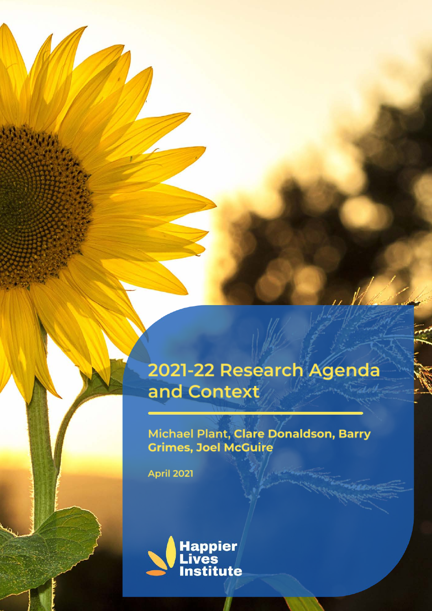## 2021-22 Research Agenda and Context

### Michael Plant, Clare Donaldson, Barry **Grimes, Joel McGuire**

**April 2021** 

433340

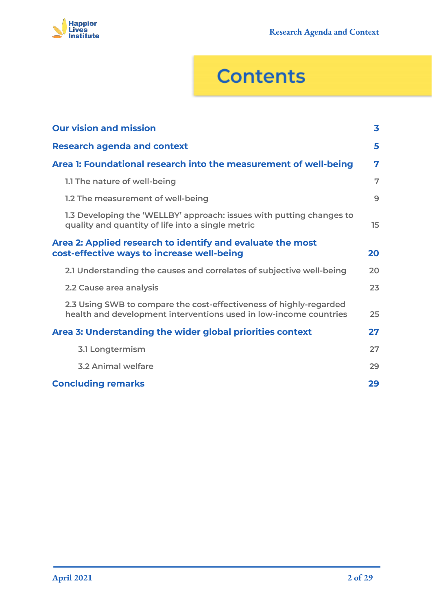

# **Contents**

| <b>Our vision and mission</b>                                                                                                           | 3  |
|-----------------------------------------------------------------------------------------------------------------------------------------|----|
| <b>Research agenda and context</b>                                                                                                      | 5  |
| Area 1: Foundational research into the measurement of well-being                                                                        | 7  |
| 1.1 The nature of well-being                                                                                                            | 7  |
| 1.2 The measurement of well-being                                                                                                       | 9  |
| 1.3 Developing the 'WELLBY' approach: issues with putting changes to<br>quality and quantity of life into a single metric               | 15 |
| Area 2: Applied research to identify and evaluate the most<br>cost-effective ways to increase well-being                                | 20 |
| 2.1 Understanding the causes and correlates of subjective well-being                                                                    | 20 |
| 2.2 Cause area analysis                                                                                                                 | 23 |
| 2.3 Using SWB to compare the cost-effectiveness of highly-regarded<br>health and development interventions used in low-income countries | 25 |
| Area 3: Understanding the wider global priorities context                                                                               | 27 |
| <b>3.1 Longtermism</b>                                                                                                                  | 27 |
| <b>3.2 Animal welfare</b>                                                                                                               | 29 |
| <b>Concluding remarks</b>                                                                                                               | 29 |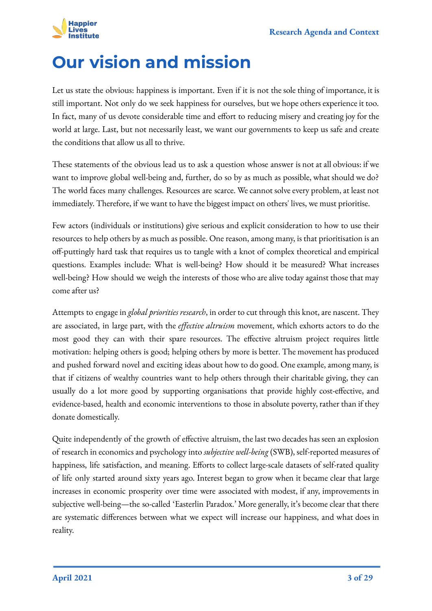

## <span id="page-2-0"></span>**Our vision and mission**

Let us state the obvious: happiness is important. Even if it is not the sole thing of importance, it is still important. Not only do we seek happiness for ourselves, but we hope others experience it too. In fact, many of us devote considerable time and effort to reducing misery and creating joy for the world at large. Last, but not necessarily least, we want our governments to keep us safe and create the conditions that allow us all to thrive.

These statements of the obvious lead us to ask a question whose answer is not at all obvious: if we want to improve global well-being and, further, do so by as much as possible, what should we do? The world faces many challenges. Resources are scarce. We cannot solve every problem, at least not immediately. Therefore, if we want to have the biggest impact on others' lives, we must prioritise.

Few actors (individuals or institutions) give serious and explicit consideration to how to use their resources to help others by as much as possible. One reason, among many, is that prioritisation is an off-puttingly hard task that requires us to tangle with a knot of complex theoretical and empirical questions. Examples include: What is well-being? How should it be measured? What increases well-being? How should we weigh the interests of those who are alive today against those that may come after us?

Attempts to engage in *global priorities research*, in order to cut through this knot, are nascent. They are associated, in large part, with the *effective altruism* movement, which exhorts actors to do the most good they can with their spare resources. The effective altruism project requires little motivation: helping others is good; helping others by more is better. The movement has produced and pushed forward novel and exciting ideas about how to do good. One example, among many, is that if citizens of wealthy countries want to help others through their charitable giving, they can usually do a lot more good by supporting organisations that provide highly cost-effective, and evidence-based, health and economic interventions to those in absolute poverty, rather than if they donate domestically.

Quite independently of the growth of effective altruism, the last two decades has seen an explosion of research in economics and psychology into *subjective well-being* (SWB), self-reported measures of happiness, life satisfaction, and meaning. Efforts to collect large-scale datasets of self-rated quality of life only started around sixty years ago. Interest began to grow when it became clear that large increases in economic prosperity over time were associated with modest, if any, improvements in subjective well-being—the so-called 'Easterlin Paradox.' More generally, it's become clear that there are systematic differences between what we expect will increase our happiness, and what does in reality.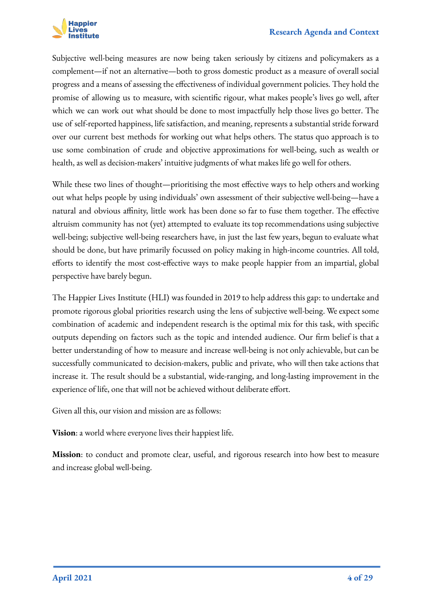

Subjective well-being measures are now being taken seriously by citizens and policymakers as a complement—if not an alternative—both to gross domestic product as a measure of overall social progress and a means of assessing the effectiveness of individual government policies. They hold the promise of allowing us to measure, with scientific rigour, what makes people's lives go well, after which we can work out what should be done to most impactfully help those lives go better. The use of self-reported happiness, life satisfaction, and meaning, represents a substantial stride forward over our current best methods for working out what helps others. The status quo approach is to use some combination of crude and objective approximations for well-being, such as wealth or health, as well as decision-makers' intuitive judgments of what makes life go well for others.

While these two lines of thought—prioritising the most effective ways to help others and working out what helps people by using individuals' own assessment of their subjective well-being—have a natural and obvious affinity, little work has been done so far to fuse them together. The effective altruism community has not (yet) attempted to evaluate its top recommendations using subjective well-being; subjective well-being researchers have, in just the last few years, begun to evaluate what should be done, but have primarily focussed on policy making in high-income countries. All told, efforts to identify the most cost-effective ways to make people happier from an impartial, global perspective have barely begun.

The Happier Lives Institute (HLI) was founded in 2019 to help address this gap: to undertake and promote rigorous global priorities research using the lens of subjective well-being. We expect some combination of academic and independent research is the optimal mix for this task, with specific outputs depending on factors such as the topic and intended audience. Our firm belief is that a better understanding of how to measure and increase well-being is not only achievable, but can be successfully communicated to decision-makers, public and private, who will then take actions that increase it. The result should be a substantial, wide-ranging, and long-lasting improvement in the experience of life, one that will not be achieved without deliberate effort.

Given all this, our vision and mission are as follows:

**Vision**: a world where everyone lives their happiest life.

**Mission**: to conduct and promote clear, useful, and rigorous research into how best to measure and increase global well-being.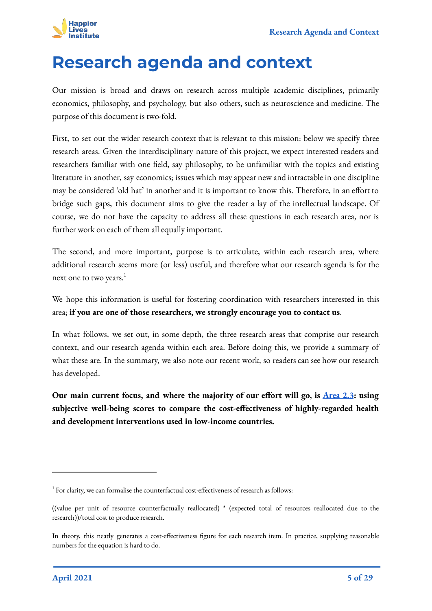

## <span id="page-4-0"></span>**Research agenda and context**

Our mission is broad and draws on research across multiple academic disciplines, primarily economics, philosophy, and psychology, but also others, such as neuroscience and medicine. The purpose of this document is two-fold.

First, to set out the wider research context that is relevant to this mission: below we specify three research areas. Given the interdisciplinary nature of this project, we expect interested readers and researchers familiar with one field, say philosophy, to be unfamiliar with the topics and existing literature in another, say economics; issues which may appear new and intractable in one discipline may be considered 'old hat' in another and it is important to know this. Therefore, in an effort to bridge such gaps, this document aims to give the reader a lay of the intellectual landscape. Of course, we do not have the capacity to address all these questions in each research area, nor is further work on each of them all equally important.

The second, and more important, purpose is to articulate, within each research area, where additional research seems more (or less) useful, and therefore what our research agenda is for the next one to two years.<sup>1</sup>

We hope this information is useful for fostering coordination with researchers interested in this area; **if you are one of those researchers, we strongly encourage you to contact us**.

In what follows, we set out, in some depth, the three research areas that comprise our research context, and our research agenda within each area. Before doing this, we provide a summary of what these are. In the summary, we also note our recent work, so readers can see how our research has developed.

**Our main current focus, and where the majority of our effort will go, is [Area 2.3](#page-24-0): using subjective well-being scores to compare the cost-effectiveness of highly-regarded health and development interventions used in low-income countries.**

<sup>&</sup>lt;sup>1</sup> For clarity, we can formalise the counterfactual cost-effectiveness of research as follows:

<sup>((</sup>value per unit of resource counterfactually reallocated) \* (expected total of resources reallocated due to the research))/total cost to produce research.

In theory, this neatly generates a cost-effectiveness figure for each research item. In practice, supplying reasonable numbers for the equation is hard to do.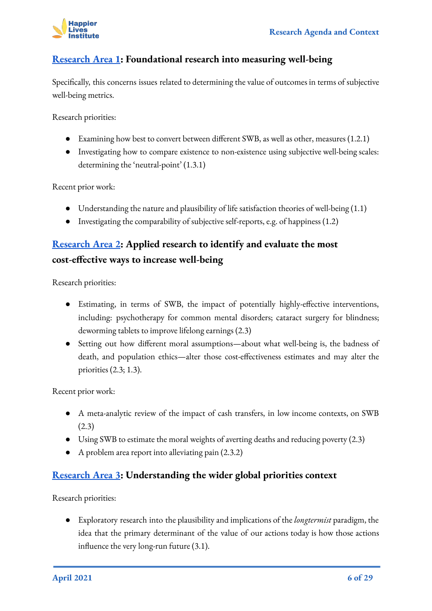

#### **[Research Area 1](#page-6-0): Foundational research into measuring well-being**

Specifically, this concerns issues related to determining the value of outcomes in terms of subjective well-being metrics.

Research priorities:

- Examining how best to convert between different SWB, as well as other, measures (1.2.1)
- Investigating how to compare existence to non-existence using subjective well-being scales: determining the 'neutral-point' (1.3.1)

Recent prior work:

- Understanding the nature and plausibility of life satisfaction theories of well-being (1.1)
- Investigating the comparability of subjective self-reports, e.g. of happiness (1.2)

#### **[Research Area 2](#page-19-0): Applied research to identify and evaluate the most cost-effective ways to increase well-being**

Research priorities:

- Estimating, in terms of SWB, the impact of potentially highly-effective interventions, including: psychotherapy for common mental disorders; cataract surgery for blindness; deworming tablets to improve lifelong earnings (2.3)
- Setting out how different moral assumptions—about what well-being is, the badness of death, and population ethics—alter those cost-effectiveness estimates and may alter the priorities (2.3; 1.3).

Recent prior work:

- A meta-analytic review of the impact of cash transfers, in low income contexts, on SWB (2.3)
- Using SWB to estimate the moral weights of averting deaths and reducing poverty (2.3)
- A problem area report into alleviating pain (2.3.2)

#### **[Research Area 3](#page-26-0): Understanding the wider global priorities context**

Research priorities:

● Exploratory research into the plausibility and implications of the *longtermist* paradigm, the idea that the primary determinant of the value of our actions today is how those actions influence the very long-run future (3.1).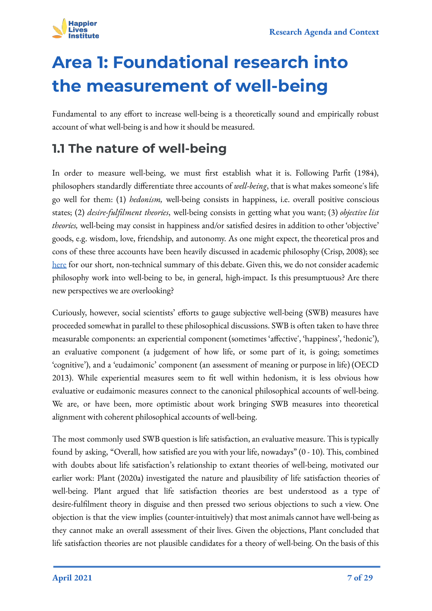

# <span id="page-6-0"></span>**Area 1: Foundational research into the measurement of well-being**

Fundamental to any effort to increase well-being is a theoretically sound and empirically robust account of what well-being is and how it should be measured.

## <span id="page-6-1"></span>**1.1 The nature of well-being**

In order to measure well-being, we must first establish what it is. Following Parfit (1984), philosophers standardly differentiate three accounts of *well-being*, that is what makes someone's life go well for them: (1) *hedonism,* well-being consists in happiness, i.e. overall positive conscious states; (2) *desire-fulfilment theories*, well-being consists in getting what you want; (3) *objective list theories,* well-being may consist in happiness and/or satisfied desires in addition to other 'objective' goods, e.g. wisdom, love, friendship, and autonomy. As one might expect, the theoretical pros and cons of these three accounts have been heavily discussed in academic philosophy (Crisp, 2008); see [here](https://www.happierlivesinstitute.org/intro_philosophy_of_well-being.html) for our short, non-technical summary of this debate. Given this, we do not consider academic philosophy work into well-being to be, in general, high-impact. Is this presumptuous? Are there new perspectives we are overlooking?

Curiously, however, social scientists' efforts to gauge subjective well-being (SWB) measures have proceeded somewhat in parallel to these philosophical discussions. SWB is often taken to have three measurable components: an experiential component (sometimes 'affective', 'happiness', 'hedonic'), an evaluative component (a judgement of how life, or some part of it, is going; sometimes 'cognitive'), and a 'eudaimonic' component (an assessment of meaning or purpose in life) (OECD 2013). While experiential measures seem to fit well within hedonism, it is less obvious how evaluative or eudaimonic measures connect to the canonical philosophical accounts of well-being. We are, or have been, more optimistic about work bringing SWB measures into theoretical alignment with coherent philosophical accounts of well-being.

The most commonly used SWB question is life satisfaction, an evaluative measure. This is typically found by asking, "Overall, how satisfied are you with your life, nowadays" (0 - 10). This, combined with doubts about life satisfaction's relationship to extant theories of well-being, motivated our earlier work: Plant (2020a) investigated the nature and plausibility of life satisfaction theories of well-being. Plant argued that life satisfaction theories are best understood as a type of desire-fulfilment theory in disguise and then pressed two serious objections to such a view. One objection is that the view implies (counter-intuitively) that most animals cannot have well-being as they cannot make an overall assessment of their lives. Given the objections, Plant concluded that life satisfaction theories are not plausible candidates for a theory of well-being. On the basis of this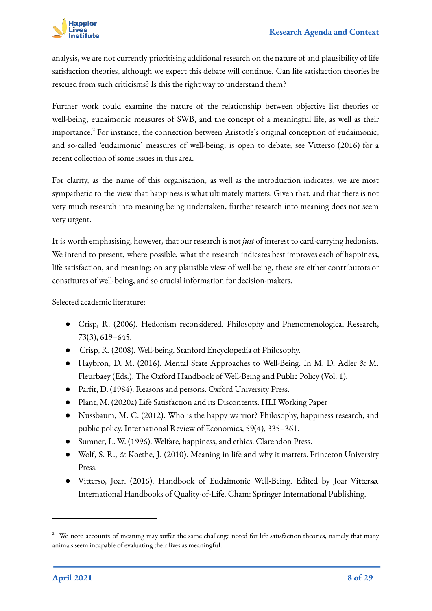

analysis, we are not currently prioritising additional research on the nature of and plausibility of life satisfaction theories, although we expect this debate will continue. Can life satisfaction theories be rescued from such criticisms? Is this the right way to understand them?

Further work could examine the nature of the relationship between objective list theories of well-being, eudaimonic measures of SWB, and the concept of a meaningful life, as well as their importance.<sup>2</sup> For instance, the connection between Aristotle's original conception of eudaimonic, and so-called 'eudaimonic' measures of well-being, is open to debate; see Vitterso (2016) for a recent collection of some issues in this area.

For clarity, as the name of this organisation, as well as the introduction indicates, we are most sympathetic to the view that happiness is what ultimately matters. Given that, and that there is not very much research into meaning being undertaken, further research into meaning does not seem very urgent.

It is worth emphasising, however, that our research is not *just* of interest to card-carrying hedonists. We intend to present, where possible, what the research indicates best improves each of happiness, life satisfaction, and meaning; on any plausible view of well-being, these are either contributors or constitutes of well-being, and so crucial information for decision-makers.

Selected academic literature:

- Crisp, R. (2006). Hedonism reconsidered. Philosophy and Phenomenological Research, 73(3), 619–645.
- Crisp, R. (2008). Well-being. Stanford Encyclopedia of Philosophy.
- Haybron, D. M. (2016). Mental State Approaches to Well-Being. In M. D. Adler & M. Fleurbaey (Eds.), The Oxford Handbook of Well-Being and Public Policy (Vol. 1).
- Parfit, D. (1984). Reasons and persons. Oxford University Press.
- Plant, M. (2020a) Life Satisfaction and its Discontents. HLI Working Paper
- Nussbaum, M. C. (2012). Who is the happy warrior? Philosophy, happiness research, and public policy. International Review of Economics, 59(4), 335–361.
- Sumner, L. W. (1996). Welfare, happiness, and ethics. Clarendon Press.
- Wolf, S. R., & Koethe, J. (2010). Meaning in life and why it matters. Princeton University Press.
- Vitterso, Joar. (2016). Handbook of Eudaimonic Well-Being. Edited by Joar Vittersø. International Handbooks of Quality-of-Life. Cham: Springer International Publishing.

<sup>&</sup>lt;sup>2</sup> We note accounts of meaning may suffer the same challenge noted for life satisfaction theories, namely that many animals seem incapable of evaluating their lives as meaningful.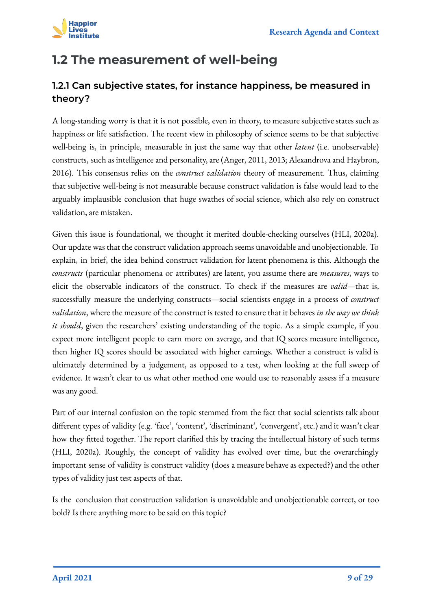

## <span id="page-8-0"></span>**1.2 The measurement of well-being**

#### **1.2.1 Can subjective states, for instance happiness, be measured in theory?**

A long-standing worry is that it is not possible, even in theory, to measure subjective states such as happiness or life satisfaction. The recent view in philosophy of science seems to be that subjective well-being is, in principle, measurable in just the same way that other *latent* (i.e. unobservable) constructs, such as intelligence and personality, are (Anger, 2011, 2013; Alexandrova and Haybron, 2016). This consensus relies on the *construct validation* theory of measurement. Thus, claiming that subjective well-being is not measurable because construct validation is false would lead to the arguably implausible conclusion that huge swathes of social science, which also rely on construct validation, are mistaken.

Given this issue is foundational, we thought it merited double-checking ourselves (HLI, 2020a). Our update was that the construct validation approach seems unavoidable and unobjectionable. To explain, in brief, the idea behind construct validation for latent phenomena is this. Although the *constructs* (particular phenomena or attributes) are latent, you assume there are *measures*, ways to elicit the observable indicators of the construct. To check if the measures are *valid—*that is, successfully measure the underlying constructs—social scientists engage in a process of *construct validation*, where the measure of the construct is tested to ensure that it behaves *in the way we think it should*, given the researchers' existing understanding of the topic. As a simple example, if you expect more intelligent people to earn more on average, and that IQ scores measure intelligence, then higher IQ scores should be associated with higher earnings. Whether a construct is valid is ultimately determined by a judgement, as opposed to a test, when looking at the full sweep of evidence. It wasn't clear to us what other method one would use to reasonably assess if a measure was any good.

Part of our internal confusion on the topic stemmed from the fact that social scientists talk about different types of validity (e.g. 'face', 'content', 'discriminant', 'convergent', etc.) and it wasn't clear how they fitted together. The report clarified this by tracing the intellectual history of such terms (HLI, 2020a). Roughly, the concept of validity has evolved over time, but the overarchingly important sense of validity is construct validity (does a measure behave as expected?) and the other types of validity just test aspects of that.

Is the conclusion that construction validation is unavoidable and unobjectionable correct, or too bold? Is there anything more to be said on this topic?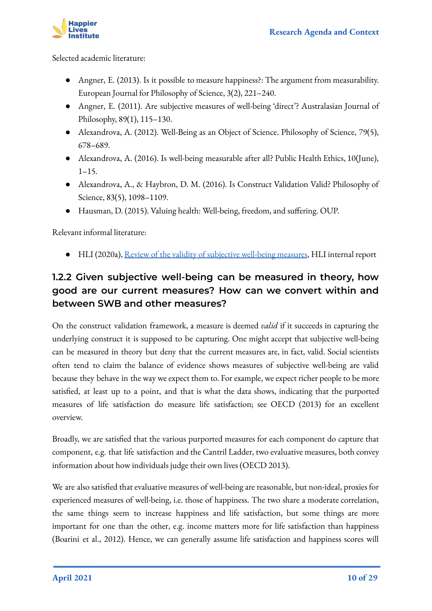

Selected academic literature:

- Angner, E. (2013). Is it possible to measure happiness?: The argument from measurability. European Journal for Philosophy of Science, 3(2), 221–240.
- Angner, E. (2011). Are subjective measures of well-being 'direct'? Australasian Journal of Philosophy, 89(1), 115–130.
- Alexandrova, A. (2012). Well-Being as an Object of Science. Philosophy of Science, 79(5), 678–689.
- Alexandrova, A. (2016). Is well-being measurable after all? Public Health Ethics, 10(June),  $1 - 15$ .
- Alexandrova, A., & Haybron, D. M. (2016). Is Construct Validation Valid? Philosophy of Science, 83(5), 1098–1109.
- Hausman, D. (2015). Valuing health: Well-being, freedom, and suffering. OUP.

Relevant informal literature:

● HLI (2020a), [Review of the validity of subjective well-being measures](https://docs.google.com/document/d/1hgQuOMhlnQuXO5OeD9LkBNeFHUl177MsGhNwQyRxbh0/edit?usp=sharing), HLI internal report

#### **1.2.2 Given subjective well-being can be measured in theory, how good are our current measures? How can we convert within and between SWB and other measures?**

On the construct validation framework, a measure is deemed *valid* if it succeeds in capturing the underlying construct it is supposed to be capturing. One might accept that subjective well-being can be measured in theory but deny that the current measures are, in fact, valid. Social scientists often tend to claim the balance of evidence shows measures of subjective well-being are valid because they behave in the way we expect them to. For example, we expect richer people to be more satisfied, at least up to a point, and that is what the data shows, indicating that the purported measures of life satisfaction do measure life satisfaction; see OECD (2013) for an excellent overview.

Broadly, we are satisfied that the various purported measures for each component do capture that component, e.g. that life satisfaction and the Cantril Ladder, two evaluative measures, both convey information about how individuals judge their own lives (OECD 2013).

We are also satisfied that evaluative measures of well-being are reasonable, but non-ideal, proxies for experienced measures of well-being, i.e. those of happiness. The two share a moderate correlation, the same things seem to increase happiness and life satisfaction, but some things are more important for one than the other, e.g. income matters more for life satisfaction than happiness (Boarini et al., 2012). Hence, we can generally assume life satisfaction and happiness scores will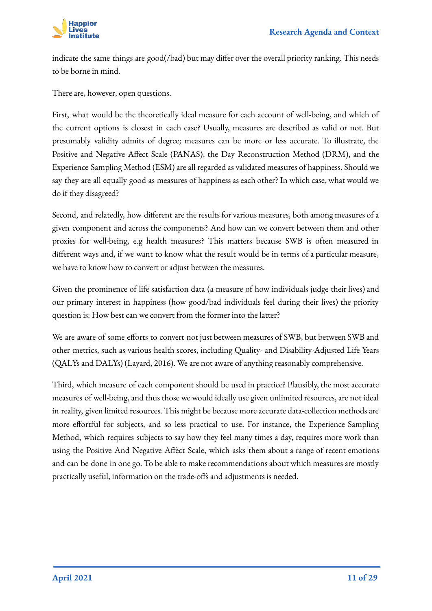

indicate the same things are good(/bad) but may differ over the overall priority ranking. This needs to be borne in mind.

There are, however, open questions.

First, what would be the theoretically ideal measure for each account of well-being, and which of the current options is closest in each case? Usually, measures are described as valid or not. But presumably validity admits of degree; measures can be more or less accurate. To illustrate, the Positive and Negative Affect Scale (PANAS), the Day Reconstruction Method (DRM), and the Experience Sampling Method (ESM) are all regarded as validated measures of happiness. Should we say they are all equally good as measures of happiness as each other? In which case, what would we do if they disagreed?

Second, and relatedly, how different are the results for various measures, both among measures of a given component and across the components? And how can we convert between them and other proxies for well-being, e.g health measures? This matters because SWB is often measured in different ways and, if we want to know what the result would be in terms of a particular measure, we have to know how to convert or adjust between the measures.

Given the prominence of life satisfaction data (a measure of how individuals judge their lives) and our primary interest in happiness (how good/bad individuals feel during their lives) the priority question is: How best can we convert from the former into the latter?

We are aware of some efforts to convert not just between measures of SWB, but between SWB and other metrics, such as various health scores, including Quality- and Disability-Adjusted Life Years (QALYs and DALYs) (Layard, 2016). We are not aware of anything reasonably comprehensive.

Third, which measure of each component should be used in practice? Plausibly, the most accurate measures of well-being, and thus those we would ideally use given unlimited resources, are not ideal in reality, given limited resources. This might be because more accurate data-collection methods are more effortful for subjects, and so less practical to use. For instance, the Experience Sampling Method, which requires subjects to say how they feel many times a day, requires more work than using the Positive And Negative Affect Scale, which asks them about a range of recent emotions and can be done in one go. To be able to make recommendations about which measures are mostly practically useful, information on the trade-offs and adjustments is needed.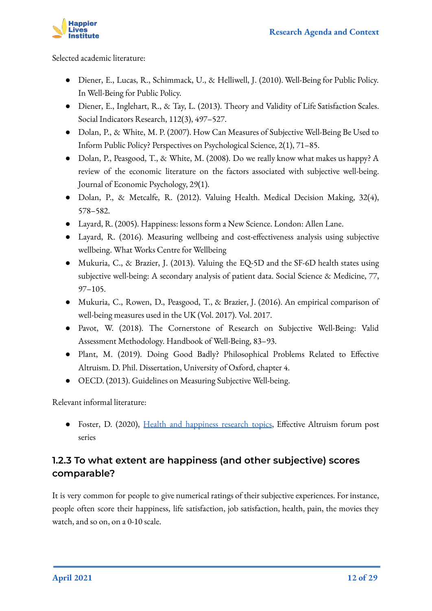

Selected academic literature:

- Diener, E., Lucas, R., Schimmack, U., & Helliwell, J. (2010). Well-Being for Public Policy. In Well-Being for Public Policy.
- Diener, E., Inglehart, R., & Tay, L. (2013). Theory and Validity of Life Satisfaction Scales. Social Indicators Research, 112(3), 497–527.
- Dolan, P., & White, M. P. (2007). How Can Measures of Subjective Well-Being Be Used to Inform Public Policy? Perspectives on Psychological Science, 2(1), 71–85.
- Dolan, P., Peasgood, T., & White, M. (2008). Do we really know what makes us happy? A review of the economic literature on the factors associated with subjective well-being. Journal of Economic Psychology, 29(1).
- Dolan, P., & Metcalfe, R. (2012). Valuing Health. Medical Decision Making, 32(4), 578–582.
- Layard, R. (2005). Happiness: lessons form a New Science. London: Allen Lane.
- Layard, R. (2016). Measuring wellbeing and cost-effectiveness analysis using subjective wellbeing. What Works Centre for Wellbeing
- Mukuria, C., & Brazier, J. (2013). Valuing the EQ-5D and the SF-6D health states using subjective well-being: A secondary analysis of patient data. Social Science & Medicine, 77, 97–105.
- Mukuria, C., Rowen, D., Peasgood, T., & Brazier, J. (2016). An empirical comparison of well-being measures used in the UK (Vol. 2017). Vol. 2017.
- Pavot, W. (2018). The Cornerstone of Research on Subjective Well-Being: Valid Assessment Methodology. Handbook of Well-Being, 83–93.
- Plant, M. (2019). Doing Good Badly? Philosophical Problems Related to Effective Altruism. D. Phil. Dissertation, University of Oxford, chapter 4.
- OECD. (2013). Guidelines on Measuring Subjective Well-being.

Relevant informal literature:

• Foster, D. (2020), [Health and happiness research topics](https://forum.effectivealtruism.org/posts/Lncdn3tXi2aRt56k5/health-and-happiness-research-topics-part-1-background-on), Effective Altruism forum post series

#### **1.2.3 To what extent are happiness (and other subjective) scores comparable?**

It is very common for people to give numerical ratings of their subjective experiences. For instance, people often score their happiness, life satisfaction, job satisfaction, health, pain, the movies they watch, and so on, on a 0-10 scale.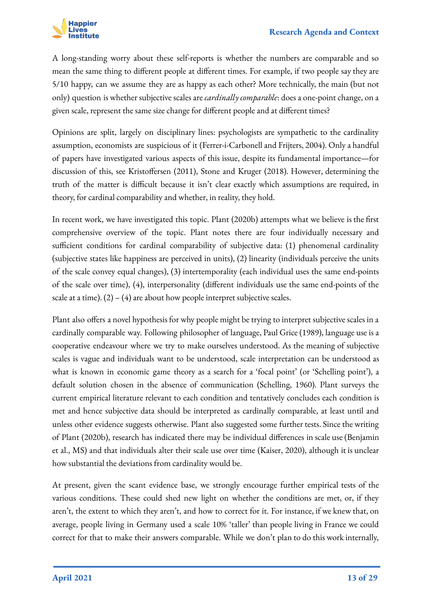

A long-standing worry about these self-reports is whether the numbers are comparable and so mean the same thing to different people at different times. For example, if two people say they are 5/10 happy, can we assume they are as happy as each other? More technically, the main (but not only) question is whether subjective scales are *cardinally comparable*: does a one-point change, on a given scale, represent the same size change for different people and at different times?

Opinions are split, largely on disciplinary lines: psychologists are sympathetic to the cardinality assumption, economists are suspicious of it (Ferrer-i-Carbonell and Frijters, 2004). Only a handful of papers have investigated various aspects of this issue, despite its fundamental importance—for discussion of this, see Kristoffersen (2011), Stone and Kruger (2018). However, determining the truth of the matter is difficult because it isn't clear exactly which assumptions are required, in theory, for cardinal comparability and whether, in reality, they hold.

In recent work, we have investigated this topic. Plant (2020b) attempts what we believe is the first comprehensive overview of the topic. Plant notes there are four individually necessary and sufficient conditions for cardinal comparability of subjective data: (1) phenomenal cardinality (subjective states like happiness are perceived in units), (2) linearity (individuals perceive the units of the scale convey equal changes), (3) intertemporality (each individual uses the same end-points of the scale over time), (4), interpersonality (different individuals use the same end-points of the scale at a time).  $(2) - (4)$  are about how people interpret subjective scales.

Plant also offers a novel hypothesis for why people might be trying to interpret subjective scales in a cardinally comparable way. Following philosopher of language, Paul Grice (1989), language use is a cooperative endeavour where we try to make ourselves understood. As the meaning of subjective scales is vague and individuals want to be understood, scale interpretation can be understood as what is known in economic game theory as a search for a 'focal point' (or 'Schelling point'), a default solution chosen in the absence of communication (Schelling, 1960). Plant surveys the current empirical literature relevant to each condition and tentatively concludes each condition is met and hence subjective data should be interpreted as cardinally comparable, at least until and unless other evidence suggests otherwise. Plant also suggested some further tests. Since the writing of Plant (2020b), research has indicated there may be individual differences in scale use (Benjamin et al., MS) and that individuals alter their scale use over time (Kaiser, 2020), although it is unclear how substantial the deviations from cardinality would be.

At present, given the scant evidence base, we strongly encourage further empirical tests of the various conditions. These could shed new light on whether the conditions are met, or, if they aren't, the extent to which they aren't, and how to correct for it. For instance, if we knew that, on average, people living in Germany used a scale 10% 'taller' than people living in France we could correct for that to make their answers comparable. While we don't plan to do this work internally,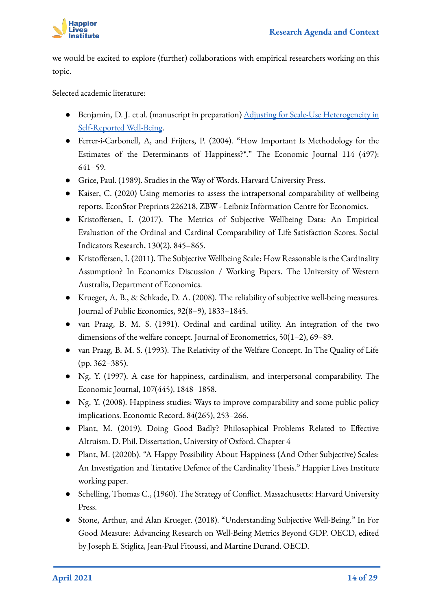

we would be excited to explore (further) collaborations with empirical researchers working on this topic.

Selected academic literature:

- Benjamin, D. J. et al. (manuscript in preparation) [Adjusting for Scale-Use Heterogeneity in](https://wellbeing.hmc.ox.ac.uk/event/fundamental-issues-in-the-measurement-of-subjective-wellbeing-swb-part-6) [Self-Reported Well-Being](https://wellbeing.hmc.ox.ac.uk/event/fundamental-issues-in-the-measurement-of-subjective-wellbeing-swb-part-6).
- Ferrer-i-Carbonell, A, and Frijters, P. (2004). "How Important Is Methodology for the Estimates of the Determinants of Happiness?\*." The Economic Journal 114 (497): 641–59.
- Grice, Paul. (1989). Studies in the Way of Words. Harvard University Press.
- Kaiser, C. (2020) Using memories to assess the intrapersonal comparability of wellbeing reports. EconStor Preprints 226218, ZBW - Leibniz Information Centre for Economics.
- Kristoffersen, I. (2017). The Metrics of Subjective Wellbeing Data: An Empirical Evaluation of the Ordinal and Cardinal Comparability of Life Satisfaction Scores. Social Indicators Research, 130(2), 845–865.
- Kristoffersen, I. (2011). The Subjective Wellbeing Scale: How Reasonable is the Cardinality Assumption? In Economics Discussion / Working Papers. The University of Western Australia, Department of Economics.
- Krueger, A. B., & Schkade, D. A. (2008). The reliability of subjective well-being measures. Journal of Public Economics, 92(8–9), 1833–1845.
- van Praag, B. M. S. (1991). Ordinal and cardinal utility. An integration of the two dimensions of the welfare concept. Journal of Econometrics, 50(1–2), 69–89.
- van Praag, B. M. S. (1993). The Relativity of the Welfare Concept. In The Quality of Life (pp. 362–385).
- Ng, Y. (1997). A case for happiness, cardinalism, and interpersonal comparability. The Economic Journal, 107(445), 1848–1858.
- Ng, Y. (2008). Happiness studies: Ways to improve comparability and some public policy implications. Economic Record, 84(265), 253–266.
- Plant, M. (2019). Doing Good Badly? Philosophical Problems Related to Effective Altruism. D. Phil. Dissertation, University of Oxford. Chapter 4
- Plant, M. (2020b). "A Happy Possibility About Happiness (And Other Subjective) Scales: An Investigation and Tentative Defence of the Cardinality Thesis." Happier Lives Institute working paper.
- Schelling, Thomas C., (1960). The Strategy of Conflict. Massachusetts: Harvard University Press.
- Stone, Arthur, and Alan Krueger. (2018). "Understanding Subjective Well-Being." In For Good Measure: Advancing Research on Well-Being Metrics Beyond GDP. OECD, edited by Joseph E. Stiglitz, Jean-Paul Fitoussi, and Martine Durand. OECD.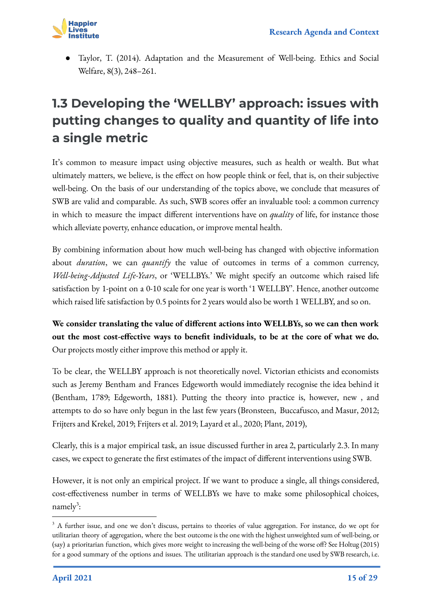

Taylor, T. (2014). Adaptation and the Measurement of Well-being. Ethics and Social Welfare, 8(3), 248–261.

## **1.3 Developing the 'WELLBY' approach: issues with putting changes to quality and quantity of life into a single metric**

<span id="page-14-0"></span>It's common to measure impact using objective measures, such as health or wealth. But what ultimately matters, we believe, is the effect on how people think or feel, that is, on their subjective well-being. On the basis of our understanding of the topics above, we conclude that measures of SWB are valid and comparable. As such, SWB scores offer an invaluable tool: a common currency in which to measure the impact different interventions have on *quality* of life, for instance those which alleviate poverty, enhance education, or improve mental health.

By combining information about how much well-being has changed with objective information about *duration*, we can *quantify* the value of outcomes in terms of a common currency, *Well-being-Adjusted Life-Years*, or 'WELLBYs.' We might specify an outcome which raised life satisfaction by 1-point on a 0-10 scale for one year is worth '1 WELLBY'. Hence, another outcome which raised life satisfaction by 0.5 points for 2 years would also be worth 1 WELLBY, and so on.

**We consider translating the value of different actions into WELLBYs, so we can then work out the most cost-effective ways to benefit individuals, to be at the core of what we do.** Our projects mostly either improve this method or apply it.

To be clear, the WELLBY approach is not theoretically novel. Victorian ethicists and economists such as Jeremy Bentham and Frances Edgeworth would immediately recognise the idea behind it (Bentham, 1789; Edgeworth, 1881). Putting the theory into practice is, however, new , and attempts to do so have only begun in the last few years (Bronsteen, Buccafusco, and Masur, 2012; Frijters and Krekel, 2019; Frijters et al. 2019; Layard et al., 2020; Plant, 2019),

Clearly, this is a major empirical task, an issue discussed further in area 2, particularly 2.3. In many cases, we expect to generate the first estimates of the impact of different interventions using SWB.

However, it is not only an empirical project. If we want to produce a single, all things considered, cost-effectiveness number in terms of WELLBYs we have to make some philosophical choices, namely<sup>3</sup>:

<sup>&</sup>lt;sup>3</sup> A further issue, and one we don't discuss, pertains to theories of value aggregation. For instance, do we opt for utilitarian theory of aggregation, where the best outcome is the one with the highest unweighted sum of well-being, or (say) a prioritarian function, which gives more weight to increasing the well-being of the worse off? See Holtug (2015) for a good summary of the options and issues. The utilitarian approach is the standard one used by SWB research, i.e.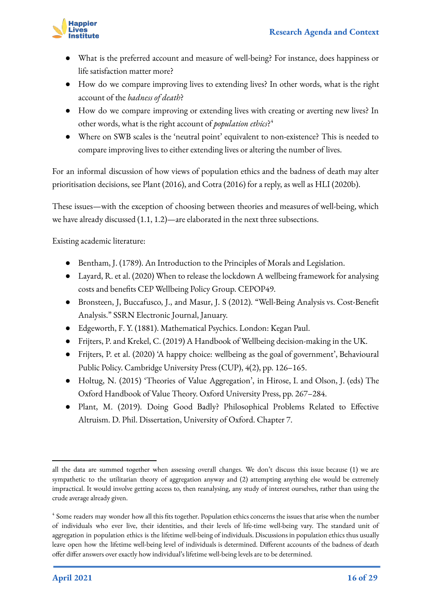

- What is the preferred account and measure of well-being? For instance, does happiness or life satisfaction matter more?
- How do we compare improving lives to extending lives? In other words, what is the right account of the *badness of death*?
- How do we compare improving or extending lives with creating or averting new lives? In other words, what is the right account of *population ethics*? 4
- Where on SWB scales is the 'neutral point' equivalent to non-existence? This is needed to compare improving lives to either extending lives or altering the number of lives.

For an informal discussion of how views of population ethics and the badness of death may alter prioritisation decisions, see Plant (2016), and Cotra (2016) for a reply, as well as HLI (2020b).

These issues—with the exception of choosing between theories and measures of well-being, which we have already discussed (1.1, 1.2)—are elaborated in the next three subsections.

Existing academic literature:

- Bentham, J. (1789). An Introduction to the Principles of Morals and Legislation.
- Layard, R. et al. (2020) When to release the lockdown A wellbeing framework for analysing costs and benefits CEP Wellbeing Policy Group. CEPOP49.
- Bronsteen, J, Buccafusco, J., and Masur, J. S (2012). "Well-Being Analysis vs. Cost-Benefit Analysis." SSRN Electronic Journal, January.
- Edgeworth, F. Y. (1881). Mathematical Psychics. London: Kegan Paul.
- Frijters, P. and Krekel, C. (2019) A Handbook of Wellbeing decision-making in the UK.
- Frijters, P. et al. (2020) 'A happy choice: wellbeing as the goal of government', Behavioural Public Policy. Cambridge University Press (CUP), 4(2), pp. 126–165.
- Holtug, N. (2015) 'Theories of Value Aggregation', in Hirose, I. and Olson, J. (eds) The Oxford Handbook of Value Theory. Oxford University Press, pp. 267–284.
- Plant, M. (2019). Doing Good Badly? Philosophical Problems Related to Effective Altruism. D. Phil. Dissertation, University of Oxford. Chapter 7.

all the data are summed together when assessing overall changes. We don't discuss this issue because (1) we are sympathetic to the utilitarian theory of aggregation anyway and (2) attempting anything else would be extremely impractical. It would involve getting access to, then reanalysing, any study of interest ourselves, rather than using the crude average already given.

<sup>&</sup>lt;sup>4</sup> Some readers may wonder how all this fits together. Population ethics concerns the issues that arise when the number of individuals who ever live, their identities, and their levels of life-time well-being vary. The standard unit of aggregation in population ethics is the lifetime well-being of individuals. Discussions in population ethics thus usually leave open how the lifetime well-being level of individuals is determined. Different accounts of the badness of death offer differ answers over exactly how individual's lifetime well-being levels are to be determined.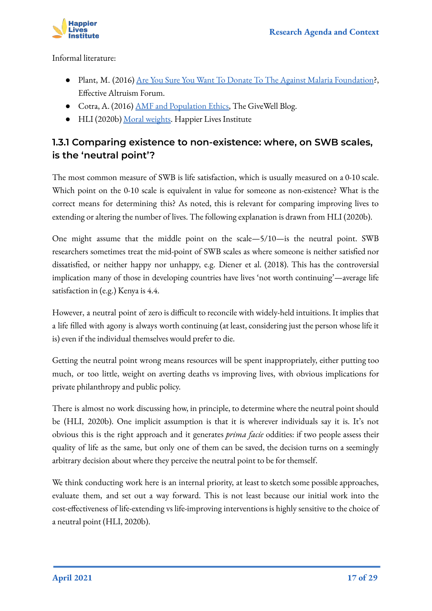

Informal literature:

- Plant, M. (2016) [Are You Sure You Want To Donate To The Against Malaria Foundation?](https://forum.effectivealtruism.org/posts/4WWXNKWHXQNFk3afc/are-you-sure-you-want-to-donate-to-the-against-malaria), Effective Altruism Forum.
- Cotra, A. (2016) [AMF and Population Ethics,](https://blog.givewell.org/2016/12/12/amf-population-ethics/) The GiveWell Blog.
- HLI (2020b) [Moral weights.](https://www.happierlivesinstitute.org/moral-weights.html) Happier Lives Institute

#### **1.3.1 Comparing existence to non-existence: where, on SWB scales, is the 'neutral point'?**

The most common measure of SWB is life satisfaction, which is usually measured on a 0-10 scale. Which point on the 0-10 scale is equivalent in value for someone as non-existence? What is the correct means for determining this? As noted, this is relevant for comparing improving lives to extending or altering the number of lives. The following explanation is drawn from HLI (2020b).

One might assume that the middle point on the scale—5/10—is the neutral point. SWB researchers sometimes treat the mid-point of SWB scales as where someone is neither satisfied nor dissatisfied, or neither happy nor unhappy, e.g. Diener et al. (2018). This has the controversial implication many of those in developing countries have lives 'not worth continuing'—average life satisfaction in (e.g.) Kenya is 4.4.

However, a neutral point of zero is difficult to reconcile with widely-held intuitions. It implies that a life filled with agony is always worth continuing (at least, considering just the person whose life it is) even if the individual themselves would prefer to die.

Getting the neutral point wrong means resources will be spent inappropriately, either putting too much, or too little, weight on averting deaths vs improving lives, with obvious implications for private philanthropy and public policy.

There is almost no work discussing how, in principle, to determine where the neutral point should be (HLI, 2020b). One implicit assumption is that it is wherever individuals say it is. It's not obvious this is the right approach and it generates *prima facie* oddities: if two people assess their quality of life as the same, but only one of them can be saved, the decision turns on a seemingly arbitrary decision about where they perceive the neutral point to be for themself.

We think conducting work here is an internal priority, at least to sketch some possible approaches, evaluate them, and set out a way forward. This is not least because our initial work into the cost-effectiveness of life-extending vs life-improving interventions is highly sensitive to the choice of a neutral point (HLI, 2020b).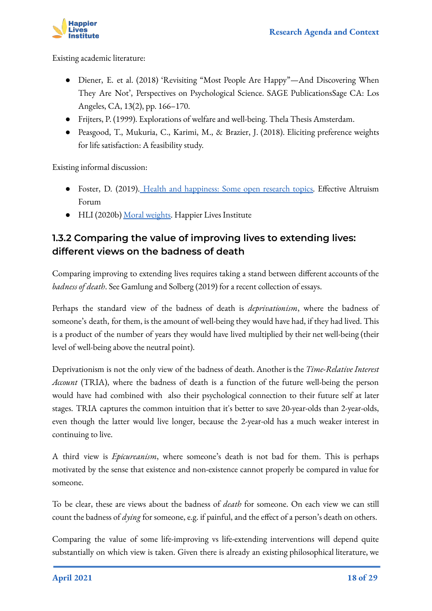

Existing academic literature:

- Diener, E. et al. (2018) 'Revisiting "Most People Are Happy"—And Discovering When They Are Not', Perspectives on Psychological Science. SAGE PublicationsSage CA: Los Angeles, CA, 13(2), pp. 166–170.
- Frijters, P. (1999). Explorations of welfare and well-being. Thela Thesis Amsterdam.
- Peasgood, T., Mukuria, C., Karimi, M., & Brazier, J. (2018). Eliciting preference weights for life satisfaction: A feasibility study.

Existing informal discussion:

- Foster, D. (2019). [Health and happiness: Some open research topics.](https://docs.google.com/document/d/1IFYO6iu0AGvQW1k9pEHViIS8UGjYRHSCxBHVrhrw-jg/edit?ts=5d9b7139#heading=h.6478nuderdxp) Effective Altruism Forum
- HLI (2020b) [Moral weights.](https://www.happierlivesinstitute.org/moral-weights.html) Happier Lives Institute

#### **1.3.2 Comparing the value of improving lives to extending lives: different views on the badness of death**

Comparing improving to extending lives requires taking a stand between different accounts of the *badness of death*. See Gamlung and Solberg (2019) for a recent collection of essays.

Perhaps the standard view of the badness of death is *deprivationism*, where the badness of someone's death, for them, is the amount of well-being they would have had, if they had lived. This is a product of the number of years they would have lived multiplied by their net well-being (their level of well-being above the neutral point).

Deprivationism is not the only view of the badness of death. Another is the *Time*-*Relative Interest Account* (TRIA), where the badness of death is a function of the future well-being the person would have had combined with also their psychological connection to their future self at later stages. TRIA captures the common intuition that it's better to save 20-year-olds than 2-year-olds, even though the latter would live longer, because the 2-year-old has a much weaker interest in continuing to live.

A third view is *Epicureanism*, where someone's death is not bad for them. This is perhaps motivated by the sense that existence and non-existence cannot properly be compared in value for someone.

To be clear, these are views about the badness of *death* for someone. On each view we can still count the badness of *dying* for someone, e.g. if painful, and the effect of a person's death on others.

Comparing the value of some life-improving vs life-extending interventions will depend quite substantially on which view is taken. Given there is already an existing philosophical literature, we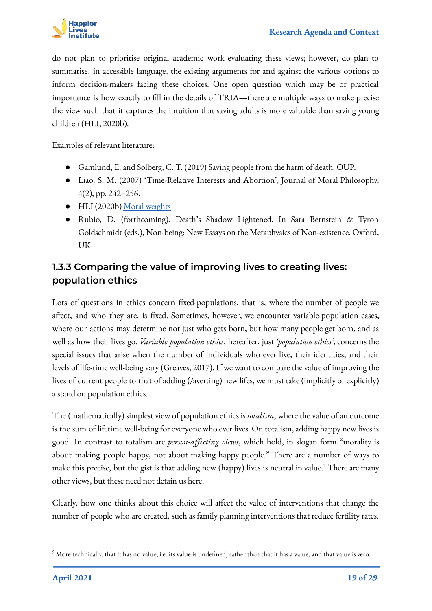

do not plan to prioritise original academic work evaluating these views; however, do plan to summarise, in accessible language, the existing arguments for and against the various options to inform decision-makers facing these choices. One open question which may be of practical importance is how exactly to fill in the details of TRIA—there are multiple ways to make precise the view such that it captures the intuition that saving adults is more valuable than saving young children (HLI, 2020b).

Examples of relevant literature:

- Gamlund, E. and Solberg, C. T. (2019) Saving people from the harm of death. OUP.
- Liao, S. M. (2007) 'Time-Relative Interests and Abortion', Journal of Moral Philosophy, 4(2), pp. 242–256.
- HLI (2020b) [Moral weights](https://www.happierlivesinstitute.org/moral-weights.html)
- Rubio, D. (forthcoming). Death's Shadow Lightened. In Sara Bernstein & Tyron Goldschmidt (eds.), Non-being: New Essays on the Metaphysics of Non-existence. Oxford, UK

#### **1.3.3 Comparing the value of improving lives to creating lives: population ethics**

Lots of questions in ethics concern fixed-populations, that is, where the number of people we affect, and who they are, is fixed. Sometimes, however, we encounter variable-population cases, where our actions may determine not just who gets born, but how many people get born, and as well as how their lives go. *Variable population ethics*, hereafter, just *'population ethics'*, concerns the special issues that arise when the number of individuals who ever live, their identities, and their levels of life-time well-being vary (Greaves, 2017). If we want to compare the value of improving the lives of current people to that of adding (/averting) new lifes, we must take (implicitly or explicitly) a stand on population ethics.

The (mathematically) simplest view of population ethics is *totalism*, where the value of an outcome is the sum of lifetime well-being for everyone who ever lives. On totalism, adding happy new lives is good. In contrast to totalism are *person-affecting views*, which hold, in slogan form "morality is about making people happy, not about making happy people." There are a number of ways to make this precise, but the gist is that adding new (happy) lives is neutral in value.<sup>5</sup> There are many other views, but these need not detain us here.

Clearly, how one thinks about this choice will affect the value of interventions that change the number of people who are created, such as family planning interventions that reduce fertility rates.

 $^5$  More technically, that it has no value, i.e. its value is undefined, rather than that it has a value, and that value is zero.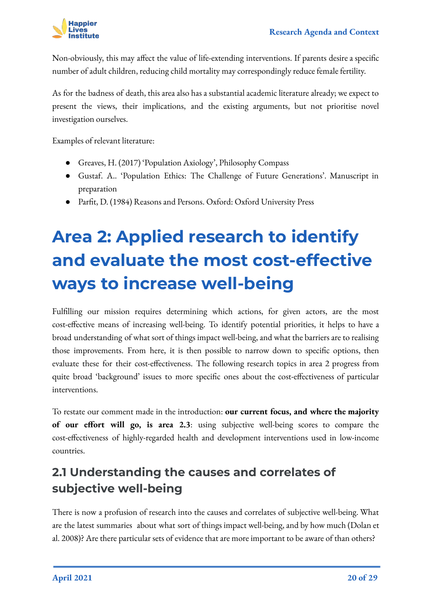

Non-obviously, this may affect the value of life-extending interventions. If parents desire a specific number of adult children, reducing child mortality may correspondingly reduce female fertility.

As for the badness of death, this area also has a substantial academic literature already; we expect to present the views, their implications, and the existing arguments, but not prioritise novel investigation ourselves.

Examples of relevant literature:

- Greaves, H. (2017) 'Population Axiology', Philosophy Compass
- Gustaf. A.. 'Population Ethics: The Challenge of Future Generations'. Manuscript in preparation
- Parfit, D. (1984) Reasons and Persons. Oxford: Oxford University Press

# **Area 2: Applied research to identify and evaluate the most cost-effective ways to increase well-being**

<span id="page-19-0"></span>Fulfilling our mission requires determining which actions, for given actors, are the most cost-effective means of increasing well-being. To identify potential priorities, it helps to have a broad understanding of what sort of things impact well-being, and what the barriers are to realising those improvements. From here, it is then possible to narrow down to specific options, then evaluate these for their cost-effectiveness. The following research topics in area 2 progress from quite broad 'background' issues to more specific ones about the cost-effectiveness of particular interventions.

To restate our comment made in the introduction: **our current focus, and where the majority of our effort will go, is area 2.3**: using subjective well-being scores to compare the cost-effectiveness of highly-regarded health and development interventions used in low-income countries.

## <span id="page-19-1"></span>**2.1 Understanding the causes and correlates of subjective well-being**

There is now a profusion of research into the causes and correlates of subjective well-being. What are the latest summaries about what sort of things impact well-being, and by how much (Dolan et al. 2008)? Are there particular sets of evidence that are more important to be aware of than others?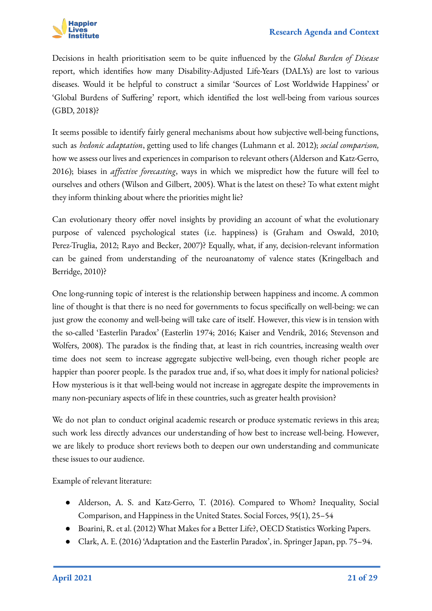

Decisions in health prioritisation seem to be quite influenced by the *Global Burden of Disease* report, which identifies how many Disability-Adjusted Life-Years (DALYs) are lost to various diseases. Would it be helpful to construct a similar 'Sources of Lost Worldwide Happiness' or 'Global Burdens of Suffering' report, which identified the lost well-being from various sources (GBD, 2018)?

It seems possible to identify fairly general mechanisms about how subjective well-being functions, such as *hedonic adaptation*, getting used to life changes (Luhmann et al. 2012); *social comparison,* how we assess our lives and experiences in comparison to relevant others (Alderson and Katz-Gerro, 2016); biases in *affective forecasting*, ways in which we mispredict how the future will feel to ourselves and others (Wilson and Gilbert, 2005). What is the latest on these? To what extent might they inform thinking about where the priorities might lie?

Can evolutionary theory offer novel insights by providing an account of what the evolutionary purpose of valenced psychological states (i.e. happiness) is (Graham and Oswald, 2010; Perez-Truglia, 2012; Rayo and Becker, 2007)? Equally, what, if any, decision-relevant information can be gained from understanding of the neuroanatomy of valence states (Kringelbach and Berridge, 2010)?

One long-running topic of interest is the relationship between happiness and income. A common line of thought is that there is no need for governments to focus specifically on well-being: we can just grow the economy and well-being will take care of itself. However, this view is in tension with the so-called 'Easterlin Paradox' (Easterlin 1974; 2016; Kaiser and Vendrik, 2016; Stevenson and Wolfers, 2008). The paradox is the finding that, at least in rich countries, increasing wealth over time does not seem to increase aggregate subjective well-being, even though richer people are happier than poorer people. Is the paradox true and, if so, what does it imply for national policies? How mysterious is it that well-being would not increase in aggregate despite the improvements in many non-pecuniary aspects of life in these countries, such as greater health provision?

We do not plan to conduct original academic research or produce systematic reviews in this area; such work less directly advances our understanding of how best to increase well-being. However, we are likely to produce short reviews both to deepen our own understanding and communicate these issues to our audience.

Example of relevant literature:

- Alderson, A. S. and Katz-Gerro, T. (2016). Compared to Whom? Inequality, Social Comparison, and Happiness in the United States. Social Forces, 95(1), 25–54
- Boarini, R. et al. (2012) What Makes for a Better Life?, OECD Statistics Working Papers.
- Clark, A. E. (2016) 'Adaptation and the Easterlin Paradox', in. Springer Japan, pp. 75–94.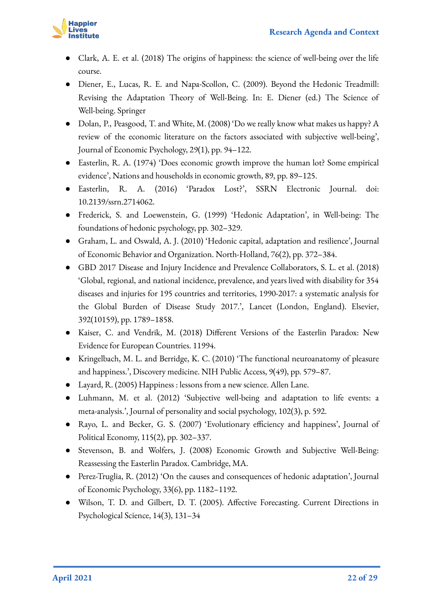

- Clark, A. E. et al. (2018) The origins of happiness: the science of well-being over the life course.
- Diener, E., Lucas, R. E. and Napa-Scollon, C. (2009). Beyond the Hedonic Treadmill: Revising the Adaptation Theory of Well-Being. In: E. Diener (ed.) The Science of Well-being. Springer
- Dolan, P., Peasgood, T. and White, M. (2008) 'Do we really know what makes us happy? A review of the economic literature on the factors associated with subjective well-being', Journal of Economic Psychology, 29(1), pp. 94–122.
- Easterlin, R. A. (1974) 'Does economic growth improve the human lot? Some empirical evidence', Nations and households in economic growth, 89, pp. 89–125.
- Easterlin, R. A. (2016) 'Paradox Lost?', SSRN Electronic Journal. doi: 10.2139/ssrn.2714062.
- Frederick, S. and Loewenstein, G. (1999) 'Hedonic Adaptation', in Well-being: The foundations of hedonic psychology, pp. 302–329.
- Graham, L. and Oswald, A. J. (2010) 'Hedonic capital, adaptation and resilience', Journal of Economic Behavior and Organization. North-Holland, 76(2), pp. 372–384.
- GBD 2017 Disease and Injury Incidence and Prevalence Collaborators, S. L. et al. (2018) 'Global, regional, and national incidence, prevalence, and years lived with disability for 354 diseases and injuries for 195 countries and territories, 1990-2017: a systematic analysis for the Global Burden of Disease Study 2017.', Lancet (London, England). Elsevier, 392(10159), pp. 1789–1858.
- Kaiser, C. and Vendrik, M. (2018) Different Versions of the Easterlin Paradox: New Evidence for European Countries. 11994.
- Kringelbach, M. L. and Berridge, K. C. (2010) 'The functional neuroanatomy of pleasure and happiness.', Discovery medicine. NIH Public Access, 9(49), pp. 579–87.
- Layard, R. (2005) Happiness : lessons from a new science. Allen Lane.
- Luhmann, M. et al. (2012) 'Subjective well-being and adaptation to life events: a meta-analysis.', Journal of personality and social psychology, 102(3), p. 592.
- Rayo, L. and Becker, G. S. (2007) 'Evolutionary efficiency and happiness', Journal of Political Economy, 115(2), pp. 302–337.
- Stevenson, B. and Wolfers, J. (2008) Economic Growth and Subjective Well-Being: Reassessing the Easterlin Paradox. Cambridge, MA.
- Perez-Truglia, R. (2012) 'On the causes and consequences of hedonic adaptation', Journal of Economic Psychology, 33(6), pp. 1182–1192.
- Wilson, T. D. and Gilbert, D. T. (2005). Affective Forecasting. Current Directions in Psychological Science, 14(3), 131–34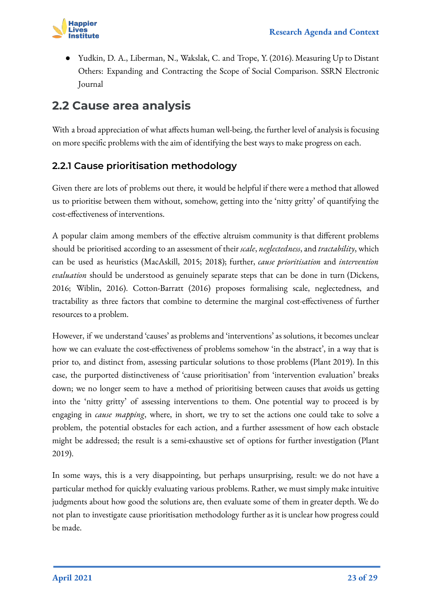

Yudkin, D. A., Liberman, N., Wakslak, C. and Trope, Y. (2016). Measuring Up to Distant Others: Expanding and Contracting the Scope of Social Comparison. SSRN Electronic Journal

### <span id="page-22-0"></span>**2.2 Cause area analysis**

With a broad appreciation of what affects human well-being, the further level of analysis is focusing on more specific problems with the aim of identifying the best ways to make progress on each.

#### **2.2.1 Cause prioritisation methodology**

Given there are lots of problems out there, it would be helpful if there were a method that allowed us to prioritise between them without, somehow, getting into the 'nitty gritty' of quantifying the cost-effectiveness of interventions.

A popular claim among members of the effective altruism community is that different problems should be prioritised according to an assessment of their *scale*, *neglectedness*, and *tractability*, which can be used as heuristics (MacAskill, 2015; 2018); further, *cause prioritisation* and *intervention evaluation* should be understood as genuinely separate steps that can be done in turn (Dickens, 2016; Wiblin, 2016). Cotton-Barratt (2016) proposes formalising scale, neglectedness, and tractability as three factors that combine to determine the marginal cost-effectiveness of further resources to a problem.

However, if we understand 'causes' as problems and 'interventions' as solutions, it becomes unclear how we can evaluate the cost-effectiveness of problems somehow 'in the abstract', in a way that is prior to, and distinct from, assessing particular solutions to those problems (Plant 2019). In this case, the purported distinctiveness of 'cause prioritisation' from 'intervention evaluation' breaks down; we no longer seem to have a method of prioritising between causes that avoids us getting into the 'nitty gritty' of assessing interventions to them. One potential way to proceed is by engaging in *cause mapping*, where, in short, we try to set the actions one could take to solve a problem, the potential obstacles for each action, and a further assessment of how each obstacle might be addressed; the result is a semi-exhaustive set of options for further investigation (Plant 2019).

In some ways, this is a very disappointing, but perhaps unsurprising, result: we do not have a particular method for quickly evaluating various problems. Rather, we must simply make intuitive judgments about how good the solutions are, then evaluate some of them in greater depth. We do not plan to investigate cause prioritisation methodology further as it is unclear how progress could be made.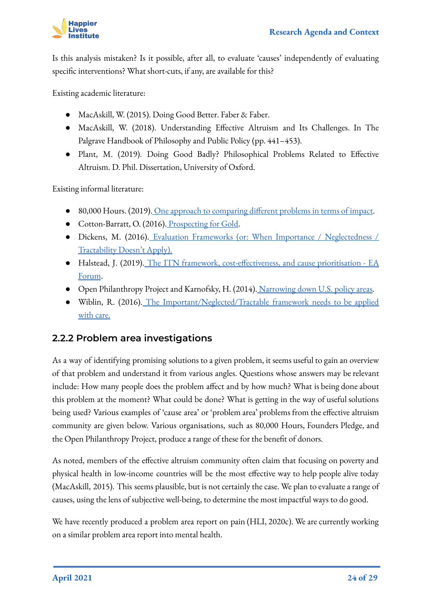

Is this analysis mistaken? Is it possible, after all, to evaluate 'causes' independently of evaluating specific interventions? What short-cuts, if any, are available for this?

Existing academic literature:

- MacAskill, W. (2015). Doing Good Better. Faber & Faber.
- MacAskill, W. (2018). Understanding Effective Altruism and Its Challenges. In The Palgrave Handbook of Philosophy and Public Policy (pp. 441–453).
- Plant, M. (2019). Doing Good Badly? Philosophical Problems Related to Effective Altruism. D. Phil. Dissertation, University of Oxford.

Existing informal literature:

- 80,000 Hours. (2019). [One approach to comparing different problems in terms of impact.](https://80000hours.org/articles/problem-framework/)
- Cotton-Barratt, O. (2016). [Prospecting for Gold.](https://www.effectivealtruism.org/articles/prospecting-for-gold-owen-cotton-barratt/)
- Dickens, M. (2016). [Evaluation Frameworks \(or: When Importance / Neglectedness /](http://mdickens.me/2016/06/10/evaluation_frameworks_(or-_when_scale-neglectedness-tractability_doesn%E2%80%99t_apply)/) [Tractability Doesn't Apply\).](http://mdickens.me/2016/06/10/evaluation_frameworks_(or-_when_scale-neglectedness-tractability_doesn%E2%80%99t_apply)/)
- Halstead, J. (2019). [The ITN framework, cost-effectiveness, and cause prioritisation EA](https://forum.effectivealtruism.org/posts/Eav7tedvX96Gk2uKE/the-itn-framework-cost-effectiveness-and-cause) [Forum](https://forum.effectivealtruism.org/posts/Eav7tedvX96Gk2uKE/the-itn-framework-cost-effectiveness-and-cause).
- Open Philanthropy Project and Karnofsky, H. (2014). [Narrowing down U.S. policy areas.](https://blog.givewell.org/2014/05/22/narrowing-down-u-s-policy-areas/)
- Wiblin, R. (2016). [The Important/Neglected/Tractable framework needs to be applied](https://forum.effectivealtruism.org/posts/74oJS32C6CZRC4Zp5/the-important-neglected-tractable-framework-needs-to-be) [with care.](https://forum.effectivealtruism.org/posts/74oJS32C6CZRC4Zp5/the-important-neglected-tractable-framework-needs-to-be)

#### **2.2.2 Problem area investigations**

As a way of identifying promising solutions to a given problem, it seems useful to gain an overview of that problem and understand it from various angles. Questions whose answers may be relevant include: How many people does the problem affect and by how much? What is being done about this problem at the moment? What could be done? What is getting in the way of useful solutions being used? Various examples of 'cause area' or 'problem area' problems from the effective altruism community are given below. Various organisations, such as 80,000 Hours, Founders Pledge, and the Open Philanthropy Project, produce a range of these for the benefit of donors.

As noted, members of the effective altruism community often claim that focusing on poverty and physical health in low-income countries will be the most effective way to help people alive today (MacAskill, 2015). This seems plausible, but is not certainly the case. We plan to evaluate a range of causes, using the lens of subjective well-being, to determine the most impactful ways to do good.

We have recently produced a problem area report on pain (HLI, 2020c). We are currently working on a similar problem area report into mental health.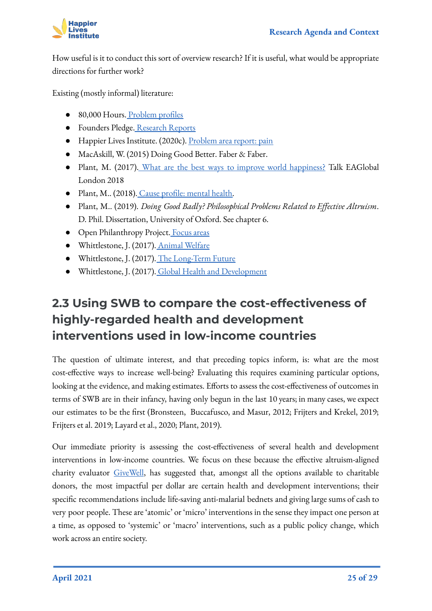

How useful is it to conduct this sort of overview research? If it is useful, what would be appropriate directions for further work?

Existing (mostly informal) literature:

- 80,000 Hours. [Problem profiles](https://80000hours.org/problem-profiles/)
- Founders Pledge. [Research Reports](https://founderspledge.com/research)
- Happier Lives Institute. (2020c). [Problem area report: pain](https://www.happierlivesinstitute.org/problem-area-pain.html)
- MacAskill, W. (2015) Doing Good Better. Faber & Faber.
- Plant, M. (2017). [What are the best ways to improve world happiness?](https://www.youtube.com/watch?v=qeUOHOCFteM) Talk EAGlobal London 2018
- Plant, M.. (2018). [Cause profile: mental health.](https://forum.effectivealtruism.org/posts/XWSTBBH8gSjiaNiy7/cause-profile-mental-health)
- Plant, M.. (2019). *Doing Good Badly? Philosophical Problems Related to Effective Altruism*. D. Phil. Dissertation, University of Oxford. See chapter 6.
- Open Philanthropy Project. [Focus areas](https://www.openphilanthropy.org/focus)
- Whittlestone, J. (2017). [Animal Welfare](https://www.effectivealtruism.org/articles/cause-profile-animal-welfare/)
- Whittlestone, J. (2017). [The Long-Term Future](https://www.effectivealtruism.org/articles/cause-profile-long-run-future/)
- Whittlestone, J. (2017). [Global Health and Development](https://www.effectivealtruism.org/articles/cause-profile-global-health-and-development/)

### **2.3 Using SWB to compare the cost-effectiveness of highly-regarded health and development interventions used in low-income countries**

<span id="page-24-0"></span>The question of ultimate interest, and that preceding topics inform, is: what are the most cost-effective ways to increase well-being? Evaluating this requires examining particular options, looking at the evidence, and making estimates. Efforts to assess the cost-effectiveness of outcomes in terms of SWB are in their infancy, having only begun in the last 10 years; in many cases, we expect our estimates to be the first (Bronsteen, Buccafusco, and Masur, 2012; Frijters and Krekel, 2019; Frijters et al. 2019; Layard et al., 2020; Plant, 2019).

Our immediate priority is assessing the cost-effectiveness of several health and development interventions in low-income countries. We focus on these because the effective altruism-aligned charity evaluator [GiveWell](https://www.givewell.org/), has suggested that, amongst all the options available to charitable donors, the most impactful per dollar are certain health and development interventions; their specific recommendations include life-saving anti-malarial bednets and giving large sums of cash to very poor people. These are 'atomic' or 'micro' interventions in the sense they impact one person at a time, as opposed to 'systemic' or 'macro' interventions, such as a public policy change, which work across an entire society.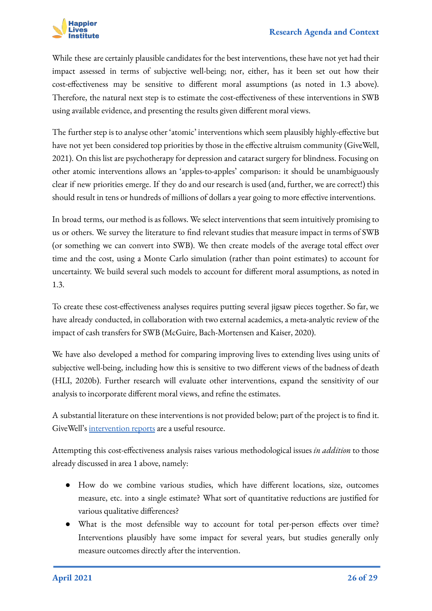

While these are certainly plausible candidates for the best interventions, these have not yet had their impact assessed in terms of subjective well-being; nor, either, has it been set out how their cost-effectiveness may be sensitive to different moral assumptions (as noted in 1.3 above). Therefore, the natural next step is to estimate the cost-effectiveness of these interventions in SWB using available evidence, and presenting the results given different moral views.

The further step is to analyse other 'atomic' interventions which seem plausibly highly-effective but have not yet been considered top priorities by those in the effective altruism community (GiveWell, 2021). On this list are psychotherapy for depression and cataract surgery for blindness. Focusing on other atomic interventions allows an 'apples-to-apples' comparison: it should be unambiguously clear if new priorities emerge. If they do and our research is used (and, further, we are correct!) this should result in tens or hundreds of millions of dollars a year going to more effective interventions.

In broad terms, our method is as follows. We select interventions that seem intuitively promising to us or others. We survey the literature to find relevant studies that measure impact in terms of SWB (or something we can convert into SWB). We then create models of the average total effect over time and the cost, using a Monte Carlo simulation (rather than point estimates) to account for uncertainty. We build several such models to account for different moral assumptions, as noted in 1.3.

To create these cost-effectiveness analyses requires putting several jigsaw pieces together. So far, we have already conducted, in collaboration with two external academics, a meta-analytic review of the impact of cash transfers for SWB (McGuire, Bach-Mortensen and Kaiser, 2020).

We have also developed a method for comparing improving lives to extending lives using units of subjective well-being, including how this is sensitive to two different views of the badness of death (HLI, 2020b). Further research will evaluate other interventions, expand the sensitivity of our analysis to incorporate different moral views, and refine the estimates.

A substantial literature on these interventions is not provided below; part of the project is to find it. GiveWell's [intervention reports](https://www.givewell.org/research/intervention-reports) are a useful resource.

Attempting this cost-effectiveness analysis raises various methodological issues *in addition* to those already discussed in area 1 above, namely:

- How do we combine various studies, which have different locations, size, outcomes measure, etc. into a single estimate? What sort of quantitative reductions are justified for various qualitative differences?
- What is the most defensible way to account for total per-person effects over time? Interventions plausibly have some impact for several years, but studies generally only measure outcomes directly after the intervention.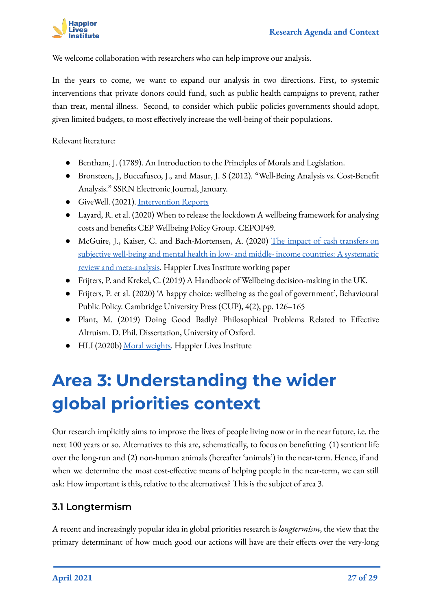

We welcome collaboration with researchers who can help improve our analysis.

In the years to come, we want to expand our analysis in two directions. First, to systemic interventions that private donors could fund, such as public health campaigns to prevent, rather than treat, mental illness. Second, to consider which public policies governments should adopt, given limited budgets, to most effectively increase the well-being of their populations.

Relevant literature:

- Bentham, J. (1789). An Introduction to the Principles of Morals and Legislation.
- Bronsteen, J, Buccafusco, J., and Masur, J. S (2012). "Well-Being Analysis vs. Cost-Benefit Analysis." SSRN Electronic Journal, January.
- GiveWell. (2021). [Intervention Reports](https://www.givewell.org/research/intervention-reports)
- Layard, R. et al. (2020) When to release the lockdown A wellbeing framework for analysing costs and benefits CEP Wellbeing Policy Group. CEPOP49.
- McGuire, J., Kaiser, C. and Bach-Mortensen, A. (2020) [The impact of cash transfers on](https://www.happierlivesinstitute.org/uploads/1/0/9/9/109970865/cash_transfer_meta-analysis_working_paper_1.53.pdf) [subjective well-being and mental health in low- and middle- income countries: A systematic](https://www.happierlivesinstitute.org/uploads/1/0/9/9/109970865/cash_transfer_meta-analysis_working_paper_1.53.pdf) [review and meta-analysis](https://www.happierlivesinstitute.org/uploads/1/0/9/9/109970865/cash_transfer_meta-analysis_working_paper_1.53.pdf). Happier Lives Institute working paper
- Frijters, P. and Krekel, C. (2019) A Handbook of Wellbeing decision-making in the UK.
- Frijters, P. et al. (2020) 'A happy choice: wellbeing as the goal of government', Behavioural Public Policy. Cambridge University Press (CUP), 4(2), pp. 126–165
- Plant, M. (2019) Doing Good Badly? Philosophical Problems Related to Effective Altruism. D. Phil. Dissertation, University of Oxford.
- HLI (2020b) [Moral weights.](https://www.happierlivesinstitute.org/moral-weights.html) Happier Lives Institute

# <span id="page-26-0"></span>**Area 3: Understanding the wider global priorities context**

Our research implicitly aims to improve the lives of people living now or in the near future, i.e. the next 100 years or so. Alternatives to this are, schematically, to focus on benefitting (1) sentient life over the long-run and (2) non-human animals (hereafter 'animals') in the near-term. Hence, if and when we determine the most cost-effective means of helping people in the near-term, we can still ask: How important is this, relative to the alternatives? This is the subject of area 3.

#### <span id="page-26-1"></span>**3.1 Longtermism**

A recent and increasingly popular idea in global priorities research is *longtermism*, the view that the primary determinant of how much good our actions will have are their effects over the very-long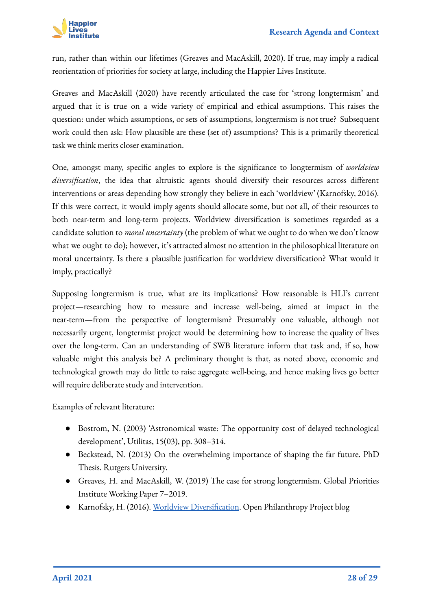

run, rather than within our lifetimes (Greaves and MacAskill, 2020). If true, may imply a radical reorientation of priorities for society at large, including the Happier Lives Institute.

Greaves and MacAskill (2020) have recently articulated the case for 'strong longtermism' and argued that it is true on a wide variety of empirical and ethical assumptions. This raises the question: under which assumptions, or sets of assumptions, longtermism is not true? Subsequent work could then ask: How plausible are these (set of) assumptions? This is a primarily theoretical task we think merits closer examination.

One, amongst many, specific angles to explore is the significance to longtermism of *worldview diversification*, the idea that altruistic agents should diversify their resources across different interventions or areas depending how strongly they believe in each 'worldview' (Karnofsky, 2016). If this were correct, it would imply agents should allocate some, but not all, of their resources to both near-term and long-term projects. Worldview diversification is sometimes regarded as a candidate solution to *moral uncertainty* (the problem of what we ought to do when we don't know what we ought to do); however, it's attracted almost no attention in the philosophical literature on moral uncertainty. Is there a plausible justification for worldview diversification? What would it imply, practically?

Supposing longtermism is true, what are its implications? How reasonable is HLI's current project—researching how to measure and increase well-being, aimed at impact in the near-term—from the perspective of longtermism? Presumably one valuable, although not necessarily urgent, longtermist project would be determining how to increase the quality of lives over the long-term. Can an understanding of SWB literature inform that task and, if so, how valuable might this analysis be? A preliminary thought is that, as noted above, economic and technological growth may do little to raise aggregate well-being, and hence making lives go better will require deliberate study and intervention.

Examples of relevant literature:

- Bostrom, N. (2003) 'Astronomical waste: The opportunity cost of delayed technological development', Utilitas, 15(03), pp. 308–314.
- Beckstead, N. (2013) On the overwhelming importance of shaping the far future. PhD Thesis. Rutgers University.
- Greaves, H. and MacAskill, W. (2019) The case for strong longtermism. Global Priorities Institute Working Paper 7–2019.
- Karnofsky, H. (2016). [Worldview Diversification](https://www.openphilanthropy.org/blog/worldview-diversification). Open Philanthropy Project blog